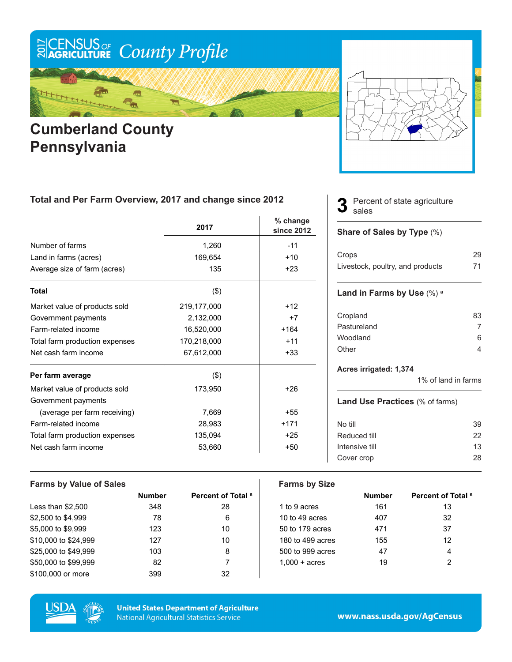

## **Cumberland County Pennsylvania**



### **Total and Per Farm Overview, 2017 and change since 2012**

|                                | 2017        | % change<br>since 2012 |
|--------------------------------|-------------|------------------------|
| Number of farms                | 1,260       | $-11$                  |
| Land in farms (acres)          | 169,654     | $+10$                  |
| Average size of farm (acres)   | 135         | $+23$                  |
| <b>Total</b>                   | (3)         |                        |
| Market value of products sold  | 219,177,000 | $+12$                  |
| Government payments            | 2,132,000   | $+7$                   |
| Farm-related income            | 16,520,000  | $+164$                 |
| Total farm production expenses | 170,218,000 | $+11$                  |
| Net cash farm income           | 67,612,000  | $+33$                  |
| Per farm average               | $($ \$)     |                        |
| Market value of products sold  | 173,950     | $+26$                  |
| Government payments            |             |                        |
| (average per farm receiving)   | 7,669       | $+55$                  |
| Farm-related income            | 28,983      | $+171$                 |
| Total farm production expenses | 135,094     | $+25$                  |
| Net cash farm income           | 53,660      | $+50$                  |

#### Percent of state agriculture sales **3**

#### **Share of Sales by Type** (%)

| Crops                            | 29 |
|----------------------------------|----|
| Livestock, poultry, and products | 71 |

#### **Land in Farms by Use** (%) **<sup>a</sup>**

| 83 |
|----|
|    |
| 6  |
|    |
|    |

#### **Acres irrigated: 1,374**

1% of land in farms

#### **Land Use Practices** (% of farms)

| No till        | 39 |
|----------------|----|
| Reduced till   | 22 |
| Intensive till | 13 |
| Cover crop     | 28 |
|                |    |

| <b>Farms by Value of Sales</b> |               |                               | <b>Farms by Size</b>   |               |                               |
|--------------------------------|---------------|-------------------------------|------------------------|---------------|-------------------------------|
|                                | <b>Number</b> | Percent of Total <sup>a</sup> |                        | <b>Number</b> | Percent of Total <sup>a</sup> |
| Less than $$2,500$             | 348           | 28                            | 1 to 9 acres           | 161           | 13                            |
| \$2,500 to \$4,999             | 78            | 6                             | 10 to 49 acres         | 407           | 32                            |
| \$5,000 to \$9,999             | 123           | 10                            | 50 to 179 acres        | 471           | 37                            |
| \$10,000 to \$24,999           | 127           | 10                            | 180 to 499 acres       | 155           | 12                            |
| \$25,000 to \$49,999           | 103           | 8                             | 500 to 999 acres       | 47            | 4                             |
| \$50,000 to \$99,999           | 82            |                               | $1.000 + \text{acres}$ | 19            | 2                             |
| \$100,000 or more              | 399           | 32                            |                        |               |                               |



**United States Department of Agriculture National Agricultural Statistics Service**